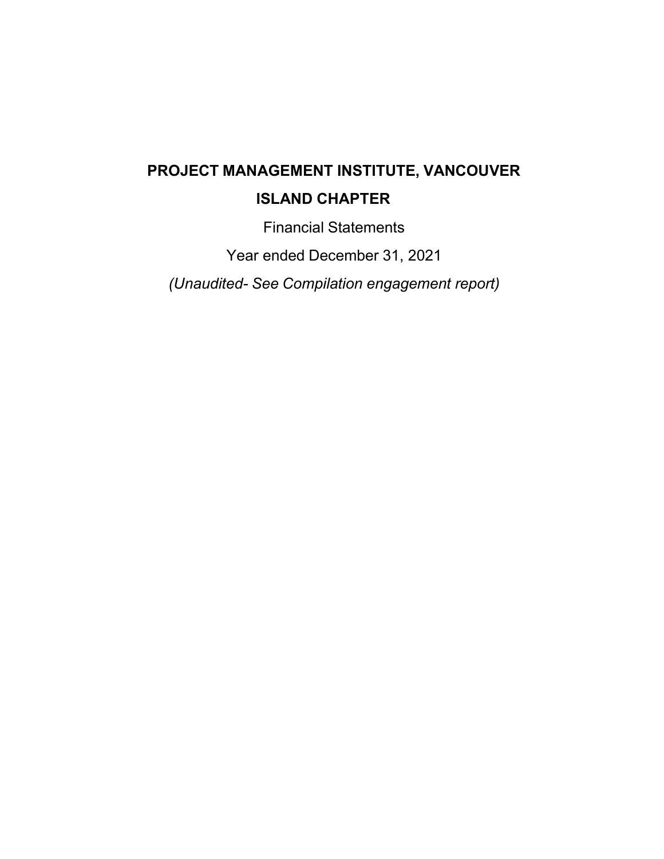# **PROJECT MANAGEMENT INSTITUTE, VANCOUVER**

## **ISLAND CHAPTER**

Financial Statements

Year ended December 31, 2021

*(Unaudited- See Compilation engagement report)*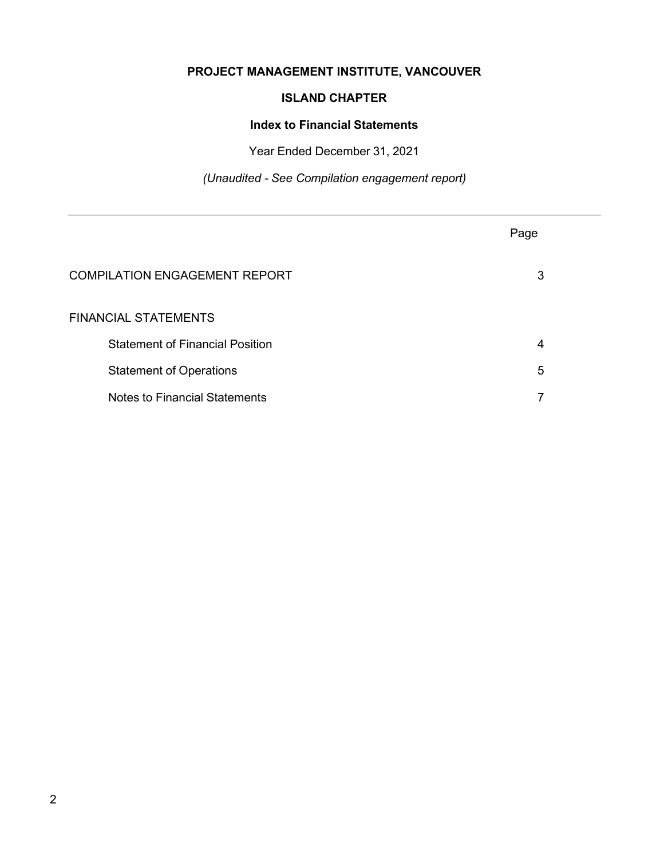## **PROJECT MANAGEMENT INSTITUTE, VANCOUVER**

### **ISLAND CHAPTER**

#### **Index to Financial Statements**

Year Ended December 31, 2021

*(Unaudited - See Compilation engagement report)*

|                                        | Page |
|----------------------------------------|------|
| <b>COMPILATION ENGAGEMENT REPORT</b>   | 3    |
| <b>FINANCIAL STATEMENTS</b>            |      |
| <b>Statement of Financial Position</b> | 4    |
| <b>Statement of Operations</b>         | 5    |
| <b>Notes to Financial Statements</b>   |      |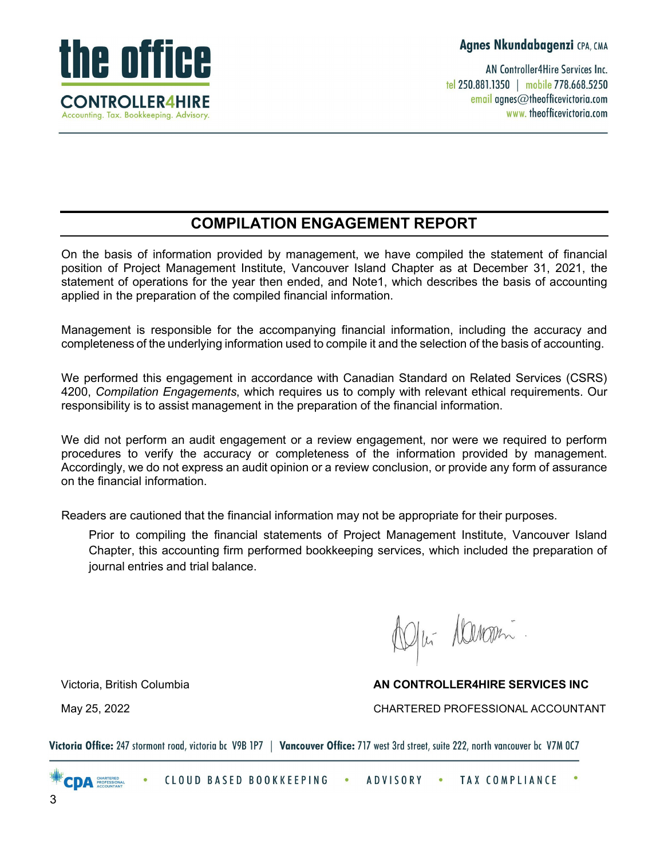**Agnes Nkundabagenzi** CPA, CMA

AN Controller4Hire Services Inc. tel 250.881.1350 | mobile 778.668.5250 email agnes@theofficevictoria.com www.theofficevictoria.com



## **COMPILATION ENGAGEMENT REPORT**

On the basis of information provided by management, we have compiled the statement of financial position of Project Management Institute, Vancouver Island Chapter as at December 31, 2021, the statement of operations for the year then ended, and Note1, which describes the basis of accounting applied in the preparation of the compiled financial information.

Management is responsible for the accompanying financial information, including the accuracy and completeness of the underlying information used to compile it and the selection of the basis of accounting.

We performed this engagement in accordance with Canadian Standard on Related Services (CSRS) 4200, *Compilation Engagements*, which requires us to comply with relevant ethical requirements. Our responsibility is to assist management in the preparation of the financial information.

We did not perform an audit engagement or a review engagement, nor were we required to perform procedures to verify the accuracy or completeness of the information provided by management. Accordingly, we do not express an audit opinion or a review conclusion, or provide any form of assurance on the financial information.

Readers are cautioned that the financial information may not be appropriate for their purposes.

Prior to compiling the financial statements of Project Management Institute, Vancouver Island Chapter, this accounting firm performed bookkeeping services, which included the preparation of journal entries and trial balance.

D/w Denomi

### Victoria, British&ROXPELD **AN CONTROLLER4HIRE SERVICES INC**

May 25, 2022 CHARTERED PROFESSIONAL ACCOUNTANT

Victoria Office: 247 stormont road, victoria bc V9B 1P7 | Vancouver Office: 717 west 3rd street, suite 222, north vancouver bc V7M OC7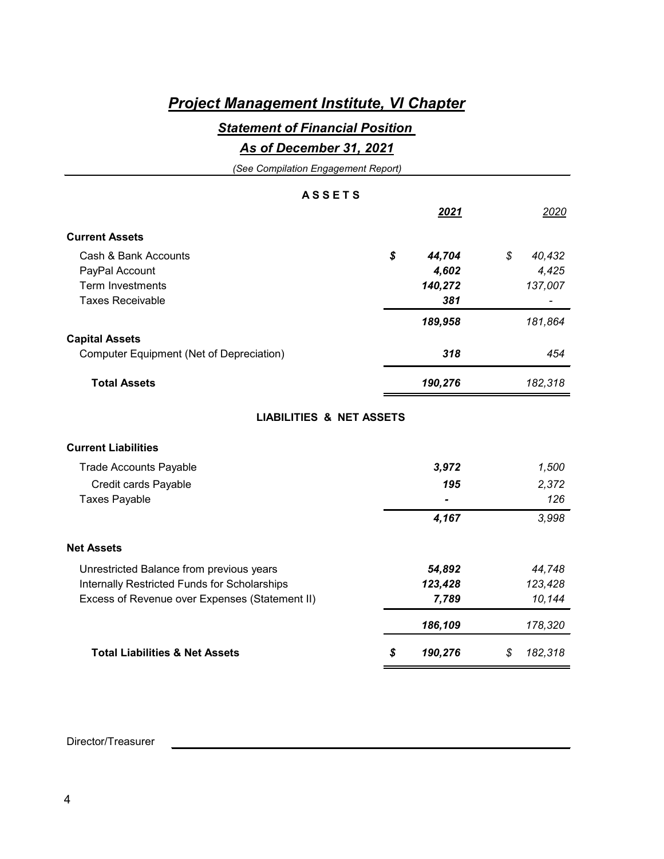## *Project Management Institute, VI Chapter*

## *Statement of Financial Position*

### *As of December 31, 2021*

| (See Compilation Engagement Report)            |               |              |
|------------------------------------------------|---------------|--------------|
| <b>ASSETS</b>                                  |               |              |
|                                                | 2021          | 2020         |
| <b>Current Assets</b>                          |               |              |
| Cash & Bank Accounts                           | \$<br>44,704  | \$<br>40,432 |
| PayPal Account                                 | 4,602         | 4,425        |
| <b>Term Investments</b>                        | 140,272       | 137,007      |
| <b>Taxes Receivable</b>                        | 381           |              |
|                                                | 189,958       | 181,864      |
| <b>Capital Assets</b>                          |               |              |
| Computer Equipment (Net of Depreciation)       | 318           | 454          |
| <b>Total Assets</b>                            | 190,276       | 182,318      |
| <b>LIABILITIES &amp; NET ASSETS</b>            |               |              |
| <b>Current Liabilities</b>                     |               |              |
| <b>Trade Accounts Payable</b>                  | 3,972         | 1,500        |
| Credit cards Payable                           | 195           | 2,372        |
| <b>Taxes Payable</b>                           |               | 126          |
|                                                | 4,167         | 3,998        |
| <b>Net Assets</b>                              |               |              |
| Unrestricted Balance from previous years       | 54,892        | 44,748       |
| Internally Restricted Funds for Scholarships   | 123,428       | 123,428      |
| Excess of Revenue over Expenses (Statement II) | 7,789         | 10,144       |
|                                                | 186,109       | 178,320      |
| <b>Total Liabilities &amp; Net Assets</b>      | \$<br>190,276 | 182,318<br>S |

#### Director/Treasurer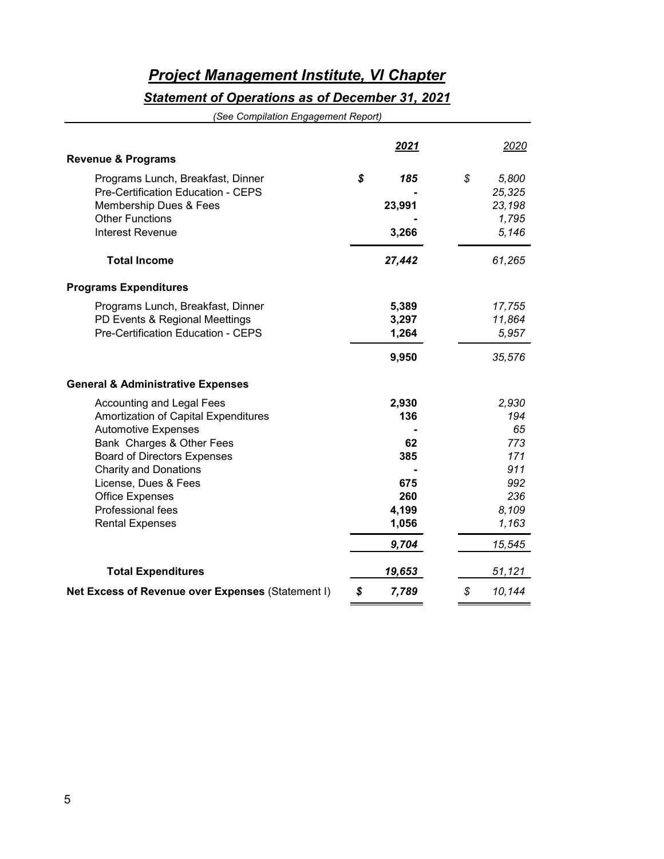## *Project Management Institute, VI Chapter*

## *Statement of Operations as of December 31, 2021*

*(See Compilation Engagement Report)*

| <b>Revenue &amp; Programs</b>                                                                                                                                                                                                                                                                       | <u>2021</u>                                                        |    | 2020                                                                              |
|-----------------------------------------------------------------------------------------------------------------------------------------------------------------------------------------------------------------------------------------------------------------------------------------------------|--------------------------------------------------------------------|----|-----------------------------------------------------------------------------------|
| Programs Lunch, Breakfast, Dinner<br>Pre-Certification Education - CEPS<br>Membership Dues & Fees<br><b>Other Functions</b><br><b>Interest Revenue</b>                                                                                                                                              | \$<br>185<br>23,991<br>3,266                                       | \$ | 5,800<br>25,325<br>23,198<br>1,795<br>5,146                                       |
| <b>Total Income</b>                                                                                                                                                                                                                                                                                 | 27,442                                                             |    | 61,265                                                                            |
| <b>Programs Expenditures</b>                                                                                                                                                                                                                                                                        |                                                                    |    |                                                                                   |
| Programs Lunch, Breakfast, Dinner<br>PD Events & Regional Meettings<br>Pre-Certification Education - CEPS                                                                                                                                                                                           | 5,389<br>3,297<br>1,264<br>9,950                                   |    | 17,755<br>11,864<br>5,957<br>35,576                                               |
| <b>General &amp; Administrative Expenses</b>                                                                                                                                                                                                                                                        |                                                                    |    |                                                                                   |
| <b>Accounting and Legal Fees</b><br>Amortization of Capital Expenditures<br><b>Automotive Expenses</b><br>Bank Charges & Other Fees<br><b>Board of Directors Expenses</b><br><b>Charity and Donations</b><br>License, Dues & Fees<br>Office Expenses<br>Professional fees<br><b>Rental Expenses</b> | 2,930<br>136<br>62<br>385<br>675<br>260<br>4,199<br>1,056<br>9,704 |    | 2,930<br>194<br>65<br>773<br>171<br>911<br>992<br>236<br>8,109<br>1,163<br>15,545 |
| <b>Total Expenditures</b>                                                                                                                                                                                                                                                                           | 19,653                                                             |    | 51,121                                                                            |
| Net Excess of Revenue over Expenses (Statement I)                                                                                                                                                                                                                                                   | \$<br>7,789                                                        | \$ | 10,144                                                                            |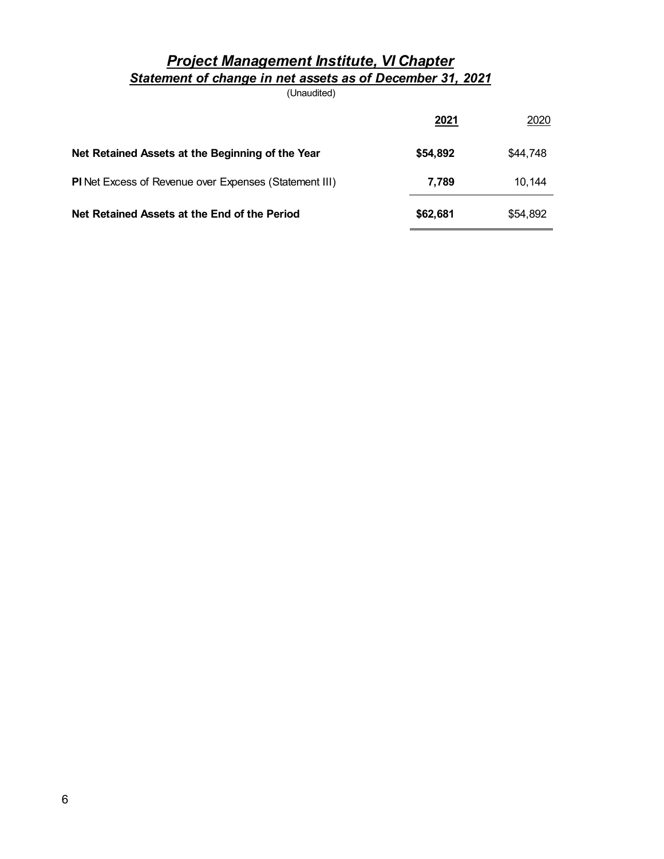## *Project Management Institute, VI Chapter Statement of change in net assets as of December 31, 2021*

(Unaudited)

|                                                        | 2021     | 2020     |
|--------------------------------------------------------|----------|----------|
| Net Retained Assets at the Beginning of the Year       | \$54,892 | \$44,748 |
| PI Net Excess of Revenue over Expenses (Statement III) | 7.789    | 10.144   |
| Net Retained Assets at the End of the Period           | \$62,681 | \$54,892 |